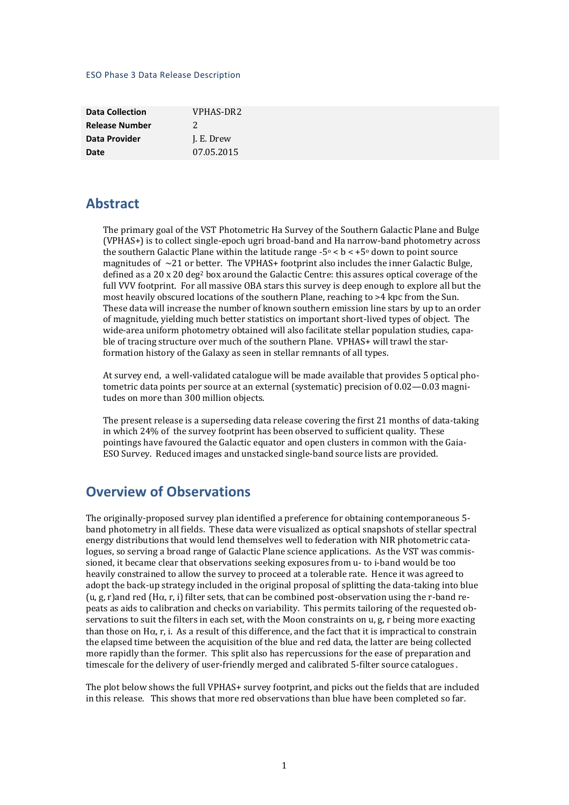#### ESO Phase 3 Data Release Description

| <b>Data Collection</b> | VPHAS-DR2  |
|------------------------|------------|
| <b>Release Number</b>  | 2          |
| Data Provider          | J. E. Drew |
| Date                   | 07.05.2015 |

### **Abstract**

The primary goal of the VST Photometric Ha Survey of the Southern Galactic Plane and Bulge (VPHAS+) is to collect single-epoch ugri broad-band and Ha narrow-band photometry across the southern Galactic Plane within the latitude range  $-5^{\circ} < b < +5^{\circ}$  down to point source magnitudes of  $\sim$ 21 or better. The VPHAS+ footprint also includes the inner Galactic Bulge, defined as a 20 x 20 deg<sup>2</sup> box around the Galactic Centre: this assures optical coverage of the full VVV footprint. For all massive OBA stars this survey is deep enough to explore all but the most heavily obscured locations of the southern Plane, reaching to >4 kpc from the Sun. These data will increase the number of known southern emission line stars by up to an order of magnitude, yielding much better statistics on important short-lived types of object. The wide-area uniform photometry obtained will also facilitate stellar population studies, capable of tracing structure over much of the southern Plane. VPHAS+ will trawl the starformation history of the Galaxy as seen in stellar remnants of all types.

At survey end, a well-validated catalogue will be made available that provides 5 optical photometric data points per source at an external (systematic) precision of 0.02—0.03 magnitudes on more than 300 million objects.

The present release is a superseding data release covering the first 21 months of data-taking in which 24% of the survey footprint has been observed to sufficient quality. These pointings have favoured the Galactic equator and open clusters in common with the Gaia-ESO Survey. Reduced images and unstacked single-band source lists are provided.

## **Overview of Observations**

The originally-proposed survey plan identified a preference for obtaining contemporaneous 5 band photometry in all fields. These data were visualized as optical snapshots of stellar spectral energy distributions that would lend themselves well to federation with NIR photometric catalogues, so serving a broad range of Galactic Plane science applications. As the VST was commissioned, it became clear that observations seeking exposures from u- to i-band would be too heavily constrained to allow the survey to proceed at a tolerable rate. Hence it was agreed to adopt the back-up strategy included in the original proposal of splitting the data-taking into blue (u, g, r)and red (H $\alpha$ , r, i) filter sets, that can be combined post-observation using the r-band repeats as aids to calibration and checks on variability. This permits tailoring of the requested observations to suit the filters in each set, with the Moon constraints on u, g, r being more exacting than those on  $H\alpha$ , r, i. As a result of this difference, and the fact that it is impractical to constrain the elapsed time between the acquisition of the blue and red data, the latter are being collected more rapidly than the former. This split also has repercussions for the ease of preparation and timescale for the delivery of user-friendly merged and calibrated 5-filter source catalogues .

The plot below shows the full VPHAS+ survey footprint, and picks out the fields that are included in this release. This shows that more red observations than blue have been completed so far.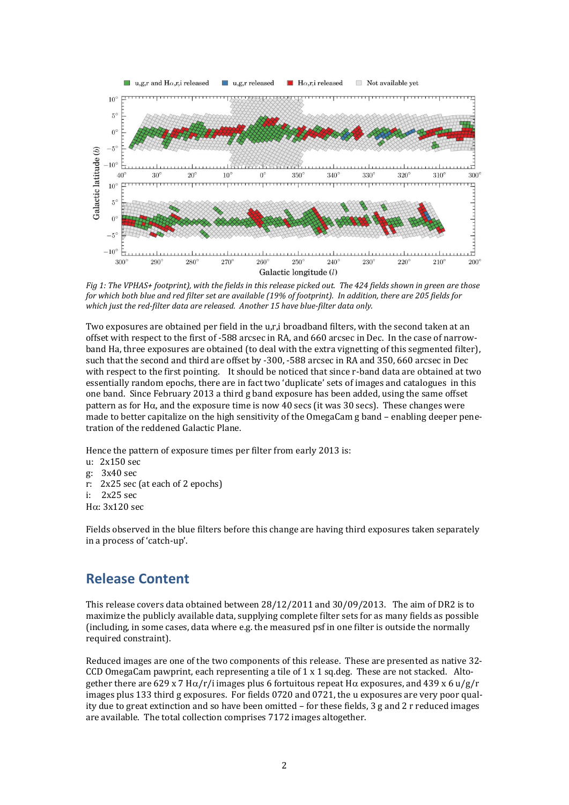

*Fig 1: The VPHAS+ footprint), with the fields in this release picked out. The 424 fields shown in green are those for which both blue and red filter set are available (19% of footprint). In addition, there are 205 fields for which just the red-filter data are released. Another 15 have blue-filter data only.* 

Two exposures are obtained per field in the u,r,i broadband filters, with the second taken at an offset with respect to the first of -588 arcsec in RA, and 660 arcsec in Dec. In the case of narrowband Ha, three exposures are obtained (to deal with the extra vignetting of this segmented filter), such that the second and third are offset by -300, -588 arcsec in RA and 350, 660 arcsec in Dec with respect to the first pointing. It should be noticed that since r-band data are obtained at two essentially random epochs, there are in fact two 'duplicate' sets of images and catalogues in this one band. Since February 2013 a third g band exposure has been added, using the same offset pattern as for H $\alpha$ , and the exposure time is now 40 secs (it was 30 secs). These changes were made to better capitalize on the high sensitivity of the OmegaCam g band – enabling deeper penetration of the reddened Galactic Plane.

Hence the pattern of exposure times per filter from early 2013 is:

- u: 2x150 sec
- g: 3x40 sec
- r: 2x25 sec (at each of 2 epochs)
- i: 2x25 sec
- H $\alpha$ : 3x120 sec

Fields observed in the blue filters before this change are having third exposures taken separately in a process of 'catch-up'.

# **Release Content**

This release covers data obtained between 28/12/2011 and 30/09/2013. The aim of DR2 is to maximize the publicly available data, supplying complete filter sets for as many fields as possible (including, in some cases, data where e.g. the measured psf in one filter is outside the normally required constraint).

Reduced images are one of the two components of this release. These are presented as native 32- CCD OmegaCam pawprint, each representing a tile of 1 x 1 sq.deg. These are not stacked. Altogether there are 629 x 7 H $\alpha$ /r/i images plus 6 fortuitous repeat H $\alpha$  exposures, and 439 x 6 u/g/r images plus 133 third g exposures. For fields 0720 and 0721, the u exposures are very poor quality due to great extinction and so have been omitted – for these fields, 3 g and 2 r reduced images are available. The total collection comprises 7172 images altogether.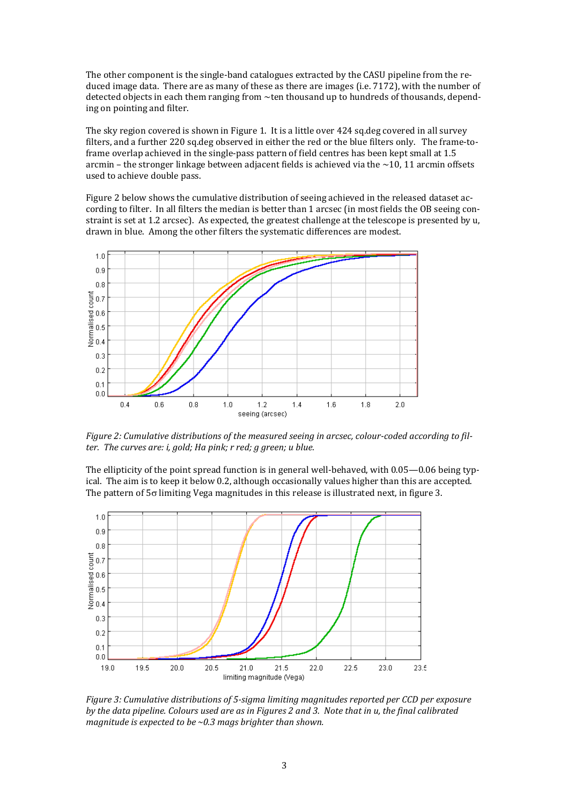The other component is the single-band catalogues extracted by the CASU pipeline from the reduced image data. There are as many of these as there are images (i.e. 7172), with the number of detected objects in each them ranging from ~ten thousand up to hundreds of thousands, depending on pointing and filter.

The sky region covered is shown in Figure 1. It is a little over 424 sq.deg covered in all survey filters, and a further 220 sq.deg observed in either the red or the blue filters only. The frame-toframe overlap achieved in the single-pass pattern of field centres has been kept small at 1.5 arcmin – the stronger linkage between adjacent fields is achieved via the  $\sim$ 10, 11 arcmin offsets used to achieve double pass.

Figure 2 below shows the cumulative distribution of seeing achieved in the released dataset according to filter. In all filters the median is better than 1 arcsec (in most fields the OB seeing constraint is set at 1.2 arcsec). As expected, the greatest challenge at the telescope is presented by u, drawn in blue. Among the other filters the systematic differences are modest.



*Figure 2: Cumulative distributions of the measured seeing in arcsec, colour-coded according to filter. The curves are: i, gold; Ha pink; r red; g green; u blue.*

The ellipticity of the point spread function is in general well-behaved, with 0.05—0.06 being typical. The aim is to keep it below 0.2, although occasionally values higher than this are accepted. The pattern of  $5\sigma$  limiting Vega magnitudes in this release is illustrated next, in figure 3.



*Figure 3: Cumulative distributions of 5-sigma limiting magnitudes reported per CCD per exposure by the data pipeline. Colours used are as in Figures 2 and 3. Note that in u, the final calibrated magnitude is expected to be ~0.3 mags brighter than shown.*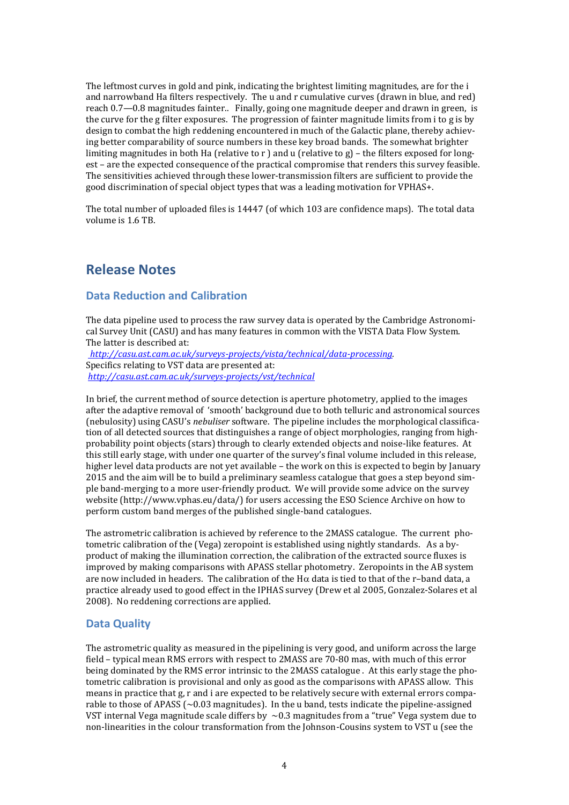The leftmost curves in gold and pink, indicating the brightest limiting magnitudes, are for the i and narrowband Ha filters respectively. The u and r cumulative curves (drawn in blue, and red) reach 0.7—0.8 magnitudes fainter.. Finally, going one magnitude deeper and drawn in green, is the curve for the g filter exposures. The progression of fainter magnitude limits from i to g is by design to combat the high reddening encountered in much of the Galactic plane, thereby achieving better comparability of source numbers in these key broad bands. The somewhat brighter limiting magnitudes in both Ha (relative to r ) and u (relative to g) – the filters exposed for longest – are the expected consequence of the practical compromise that renders this survey feasible. The sensitivities achieved through these lower-transmission filters are sufficient to provide the good discrimination of special object types that was a leading motivation for VPHAS+.

The total number of uploaded files is 14447 (of which 103 are confidence maps). The total data volume is 1.6 TB.

## **Release Notes**

### **Data Reduction and Calibration**

The data pipeline used to process the raw survey data is operated by the Cambridge Astronomical Survey Unit (CASU) and has many features in common with the VISTA Data Flow System. The latter is described at:

*[http://casu.ast.cam.ac.uk/surveys-projects/vista/technical/data-processing.](http://casu.ast.cam.ac.uk/surveys-projects/vista/technical/data-processing)*  Specifics relating to VST data are presented at: *<http://casu.ast.cam.ac.uk/surveys-projects/vst/technical>*

In brief, the current method of source detection is aperture photometry, applied to the images after the adaptive removal of 'smooth' background due to both telluric and astronomical sources (nebulosity) using CASU's *nebuliser* software. The pipeline includes the morphological classification of all detected sources that distinguishes a range of object morphologies, ranging from highprobability point objects (stars) through to clearly extended objects and noise-like features. At this still early stage, with under one quarter of the survey's final volume included in this release, higher level data products are not yet available – the work on this is expected to begin by January 2015 and the aim will be to build a preliminary seamless catalogue that goes a step beyond simple band-merging to a more user-friendly product. We will provide some advice on the survey website (http://www.vphas.eu/data/) for users accessing the ESO Science Archive on how to perform custom band merges of the published single-band catalogues.

The astrometric calibration is achieved by reference to the 2MASS catalogue. The current photometric calibration of the (Vega) zeropoint is established using nightly standards. As a byproduct of making the illumination correction, the calibration of the extracted source fluxes is improved by making comparisons with APASS stellar photometry. Zeropoints in the AB system are now included in headers. The calibration of the H $\alpha$  data is tied to that of the r-band data, a practice already used to good effect in the IPHAS survey (Drew et al 2005, Gonzalez-Solares et al 2008). No reddening corrections are applied.

#### **Data Quality**

The astrometric quality as measured in the pipelining is very good, and uniform across the large field – typical mean RMS errors with respect to 2MASS are 70-80 mas, with much of this error being dominated by the RMS error intrinsic to the 2MASS catalogue . At this early stage the photometric calibration is provisional and only as good as the comparisons with APASS allow. This means in practice that g, r and i are expected to be relatively secure with external errors comparable to those of APASS ( $\sim$  0.03 magnitudes). In the u band, tests indicate the pipeline-assigned VST internal Vega magnitude scale differs by  $~0.3$  magnitudes from a "true" Vega system due to non-linearities in the colour transformation from the Johnson-Cousins system to VST u (see the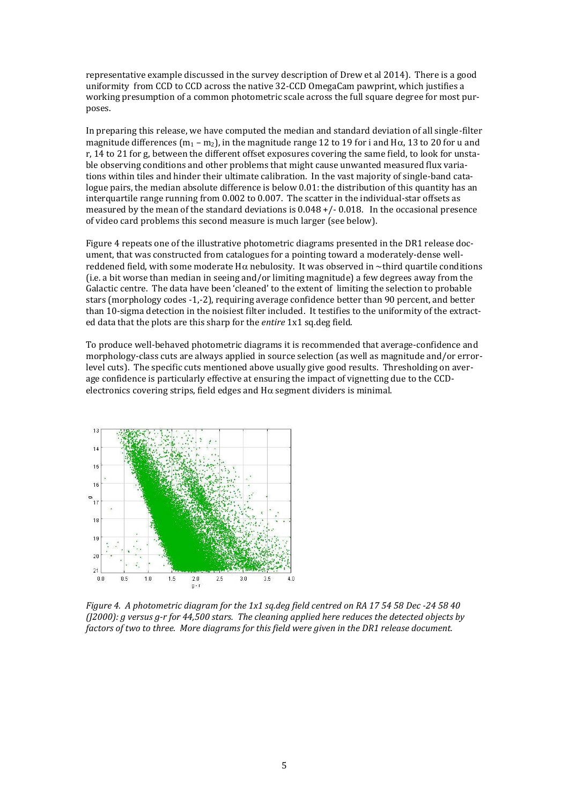representative example discussed in the survey description of Drew et al 2014). There is a good uniformity from CCD to CCD across the native 32-CCD OmegaCam pawprint, which justifies a working presumption of a common photometric scale across the full square degree for most purposes.

In preparing this release, we have computed the median and standard deviation of all single-filter magnitude differences  $(m_1 - m_2)$ , in the magnitude range 12 to 19 for i and H $\alpha$ , 13 to 20 for u and r, 14 to 21 for g, between the different offset exposures covering the same field, to look for unstable observing conditions and other problems that might cause unwanted measured flux variations within tiles and hinder their ultimate calibration. In the vast majority of single-band catalogue pairs, the median absolute difference is below 0.01: the distribution of this quantity has an interquartile range running from 0.002 to 0.007. The scatter in the individual-star offsets as measured by the mean of the standard deviations is  $0.048 + / -0.018$ . In the occasional presence of video card problems this second measure is much larger (see below).

Figure 4 repeats one of the illustrative photometric diagrams presented in the DR1 release document, that was constructed from catalogues for a pointing toward a moderately-dense wellreddened field, with some moderate H $\alpha$  nebulosity. It was observed in ~third quartile conditions (i.e. a bit worse than median in seeing and/or limiting magnitude) a few degrees away from the Galactic centre. The data have been 'cleaned' to the extent of limiting the selection to probable stars (morphology codes -1,-2), requiring average confidence better than 90 percent, and better than 10-sigma detection in the noisiest filter included. It testifies to the uniformity of the extracted data that the plots are this sharp for the *entire* 1x1 sq.deg field.

To produce well-behaved photometric diagrams it is recommended that average-confidence and morphology-class cuts are always applied in source selection (as well as magnitude and/or errorlevel cuts). The specific cuts mentioned above usually give good results. Thresholding on average confidence is particularly effective at ensuring the impact of vignetting due to the CCDelectronics covering strips, field edges and  $H\alpha$  segment dividers is minimal.



*Figure 4. A photometric diagram for the 1x1 sq.deg field centred on RA 17 54 58 Dec -24 58 40 (J2000): g versus g-r for 44,500 stars. The cleaning applied here reduces the detected objects by factors of two to three. More diagrams for this field were given in the DR1 release document.*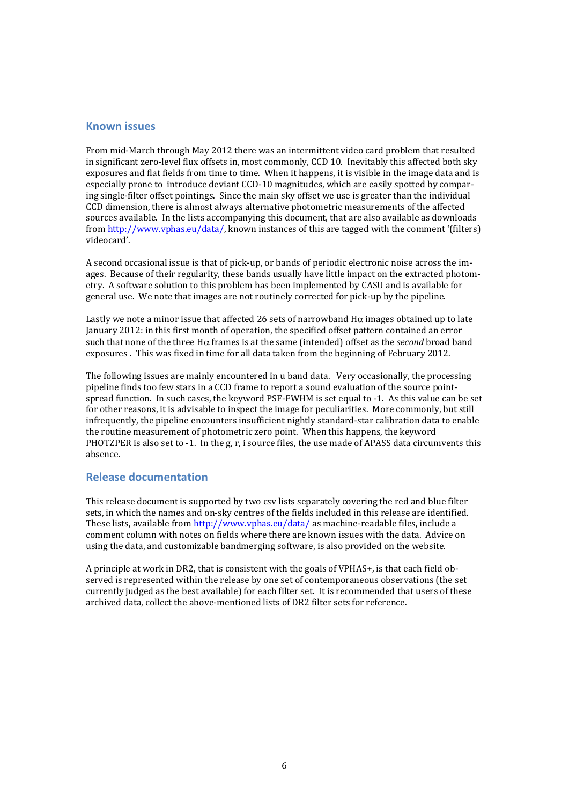#### **Known issues**

From mid-March through May 2012 there was an intermittent video card problem that resulted in significant zero-level flux offsets in, most commonly, CCD 10. Inevitably this affected both sky exposures and flat fields from time to time. When it happens, it is visible in the image data and is especially prone to introduce deviant CCD-10 magnitudes, which are easily spotted by comparing single-filter offset pointings. Since the main sky offset we use is greater than the individual CCD dimension, there is almost always alternative photometric measurements of the affected sources available. In the lists accompanying this document, that are also available as downloads from [http://www.vphas.eu/data/,](http://www.vphas.eu/data/) known instances of this are tagged with the comment '(filters) videocard'.

A second occasional issue is that of pick-up, or bands of periodic electronic noise across the images. Because of their regularity, these bands usually have little impact on the extracted photometry. A software solution to this problem has been implemented by CASU and is available for general use. We note that images are not routinely corrected for pick-up by the pipeline.

Lastly we note a minor issue that affected 26 sets of narrowband  $H\alpha$  images obtained up to late January 2012: in this first month of operation, the specified offset pattern contained an error such that none of the three H $\alpha$  frames is at the same (intended) offset as the *second* broad band exposures . This was fixed in time for all data taken from the beginning of February 2012.

The following issues are mainly encountered in u band data. Very occasionally, the processing pipeline finds too few stars in a CCD frame to report a sound evaluation of the source pointspread function. In such cases, the keyword PSF-FWHM is set equal to -1. As this value can be set for other reasons, it is advisable to inspect the image for peculiarities. More commonly, but still infrequently, the pipeline encounters insufficient nightly standard-star calibration data to enable the routine measurement of photometric zero point. When this happens, the keyword PHOTZPER is also set to -1. In the g, r, i source files, the use made of APASS data circumvents this absence.

#### **Release documentation**

This release document is supported by two csv lists separately covering the red and blue filter sets, in which the names and on-sky centres of the fields included in this release are identified. These lists, available from<http://www.vphas.eu/data/> as machine-readable files, include a comment column with notes on fields where there are known issues with the data. Advice on using the data, and customizable bandmerging software, is also provided on the website.

A principle at work in DR2, that is consistent with the goals of VPHAS+, is that each field observed is represented within the release by one set of contemporaneous observations (the set currently judged as the best available) for each filter set. It is recommended that users of these archived data, collect the above-mentioned lists of DR2 filter sets for reference.